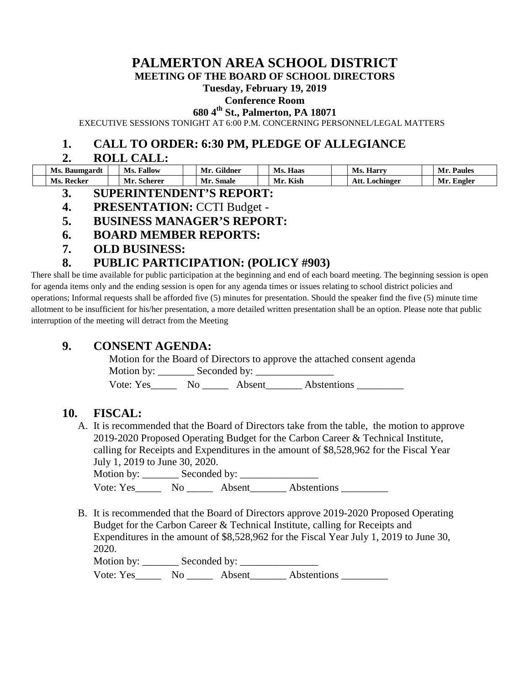# **PALMERTON AREA SCHOOL DISTRICT**

**MEETING OF THE BOARD OF SCHOOL DIRECTORS**

#### **Tuesday, February 19, 2019**

#### **Conference Room**

**680 4th St., Palmerton, PA 18071**

EXECUTIVE SESSIONS TONIGHT AT 6:00 P.M. CONCERNING PERSONNEL/LEGAL MATTERS

### **1. CALL TO ORDER: 6:30 PM, PLEDGE OF ALLEGIANCE**

#### **2. ROLL CALL:**

| Ms.<br>Baumgardt | <b>Tallow</b><br>Ms. | $\sim \cdot$<br>Galdner<br>Mr | Haas<br>Ms. | Ms.<br><b>Harry</b> | Mr<br><b>Paules</b> |
|------------------|----------------------|-------------------------------|-------------|---------------------|---------------------|
| Ms.<br>Recker    | Scherer              | Smale<br>Mr.                  | <b>Kish</b> | Att.<br>Lochinger   | Mr.<br>. Engler     |

- **3. SUPERINTENDENT'S REPORT:**
- **4. PRESENTATION:** CCTI Budget -
- **5. BUSINESS MANAGER'S REPORT:**
- **6. BOARD MEMBER REPORTS:**
- **7. OLD BUSINESS:**

## **8. PUBLIC PARTICIPATION: (POLICY #903)**

There shall be time available for public participation at the beginning and end of each board meeting. The beginning session is open for agenda items only and the ending session is open for any agenda times or issues relating to school district policies and operations; Informal requests shall be afforded five (5) minutes for presentation. Should the speaker find the five (5) minute time allotment to be insufficient for his/her presentation, a more detailed written presentation shall be an option. Please note that public interruption of the meeting will detract from the Meeting

## **9. CONSENT AGENDA:**

Motion for the Board of Directors to approve the attached consent agenda Motion by:  $\_\_\_\_\$  Seconded by:  $\_\_\_\_\_\_\_\_\_\_\_\_\_\_\_\_\_$ Vote: Yes No Absent Abstentions

## **10. FISCAL:**

A. It is recommended that the Board of Directors take from the table, the motion to approve 2019-2020 Proposed Operating Budget for the Carbon Career & Technical Institute, calling for Receipts and Expenditures in the amount of \$8,528,962 for the Fiscal Year July 1, 2019 to June 30, 2020.

Motion by: \_\_\_\_\_\_\_ Seconded by: \_\_\_\_\_\_\_\_\_\_\_\_\_\_\_ Vote: Yes\_\_\_\_\_\_\_ No \_\_\_\_\_\_\_ Absent\_\_\_\_\_\_\_\_ Abstentions \_\_\_\_\_\_\_\_\_\_

B. It is recommended that the Board of Directors approve 2019-2020 Proposed Operating Budget for the Carbon Career & Technical Institute, calling for Receipts and Expenditures in the amount of \$8,528,962 for the Fiscal Year July 1, 2019 to June 30, 2020.

Motion by: \_\_\_\_\_\_\_ Seconded by: \_\_\_\_\_\_\_\_\_\_\_\_\_\_\_

Vote: Yes\_\_\_\_\_\_\_ No \_\_\_\_\_\_\_ Absent\_\_\_\_\_\_\_\_ Abstentions \_\_\_\_\_\_\_\_\_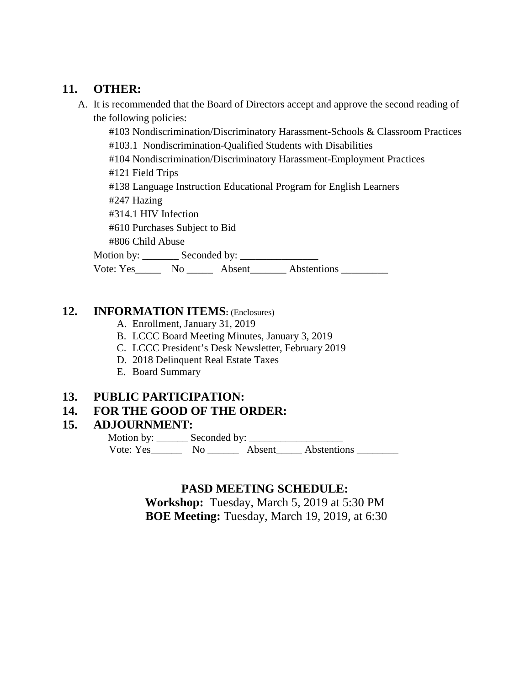### **11. OTHER:**

A. It is recommended that the Board of Directors accept and approve the second reading of the following policies:

#103 Nondiscrimination/Discriminatory Harassment-Schools & Classroom Practices #103.1 Nondiscrimination-Qualified Students with Disabilities

#104 Nondiscrimination/Discriminatory Harassment-Employment Practices

#121 Field Trips

#138 Language Instruction Educational Program for English Learners

#247 Hazing

#314.1 HIV Infection

#610 Purchases Subject to Bid

#806 Child Abuse

Motion by: \_\_\_\_\_\_\_ Seconded by: \_\_\_\_\_\_\_\_\_\_\_\_\_\_\_

Vote: Yes\_\_\_\_\_\_\_ No \_\_\_\_\_\_\_ Absent\_\_\_\_\_\_\_\_ Abstentions \_\_\_\_\_\_\_\_\_\_\_

### **12. INFORMATION ITEMS:** (Enclosures)

- A. Enrollment, January 31, 2019
- B. LCCC Board Meeting Minutes, January 3, 2019
- C. LCCC President's Desk Newsletter, February 2019
- D. 2018 Delinquent Real Estate Taxes
- E. Board Summary

## **13. PUBLIC PARTICIPATION:**

## **14. FOR THE GOOD OF THE ORDER:**

#### **15. ADJOURNMENT:**

Motion by: \_\_\_\_\_\_\_\_ Seconded by: \_\_\_\_\_\_\_\_\_ Vote: Yes\_\_\_\_\_\_\_\_\_ No \_\_\_\_\_\_\_\_\_ Absent\_\_\_\_\_\_ Abstentions \_\_\_\_\_\_

## **PASD MEETING SCHEDULE:**

**Workshop:** Tuesday, March 5, 2019 at 5:30 PM **BOE Meeting:** Tuesday, March 19, 2019, at 6:30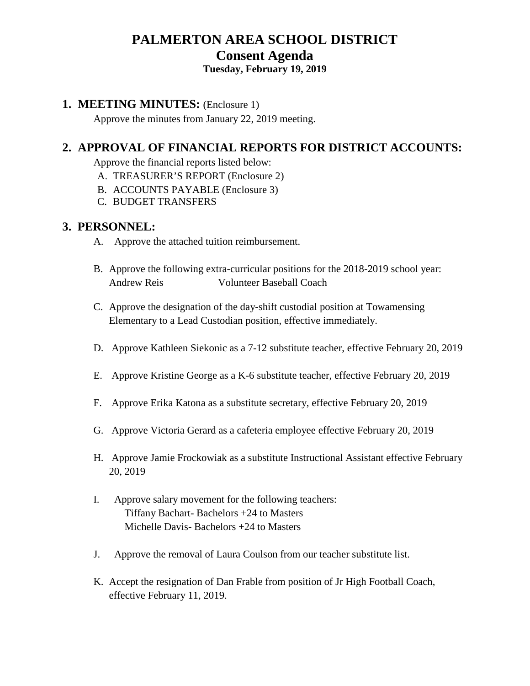# **PALMERTON AREA SCHOOL DISTRICT Consent Agenda Tuesday, February 19, 2019**

#### **1. MEETING MINUTES:** (Enclosure 1)

Approve the minutes from January 22, 2019 meeting.

## **2. APPROVAL OF FINANCIAL REPORTS FOR DISTRICT ACCOUNTS:**

Approve the financial reports listed below:

- A. TREASURER'S REPORT (Enclosure 2)
- B. ACCOUNTS PAYABLE (Enclosure 3)
- C. BUDGET TRANSFERS

#### **3. PERSONNEL:**

- A. Approve the attached tuition reimbursement.
- B. Approve the following extra-curricular positions for the 2018-2019 school year: Andrew Reis Volunteer Baseball Coach
- C. Approve the designation of the day-shift custodial position at Towamensing Elementary to a Lead Custodian position, effective immediately.
- D. Approve Kathleen Siekonic as a 7-12 substitute teacher, effective February 20, 2019
- E. Approve Kristine George as a K-6 substitute teacher, effective February 20, 2019
- F. Approve Erika Katona as a substitute secretary, effective February 20, 2019
- G. Approve Victoria Gerard as a cafeteria employee effective February 20, 2019
- H. Approve Jamie Frockowiak as a substitute Instructional Assistant effective February 20, 2019
- I. Approve salary movement for the following teachers: Tiffany Bachart- Bachelors +24 to Masters Michelle Davis- Bachelors +24 to Masters
- J. Approve the removal of Laura Coulson from our teacher substitute list.
- K. Accept the resignation of Dan Frable from position of Jr High Football Coach, effective February 11, 2019.